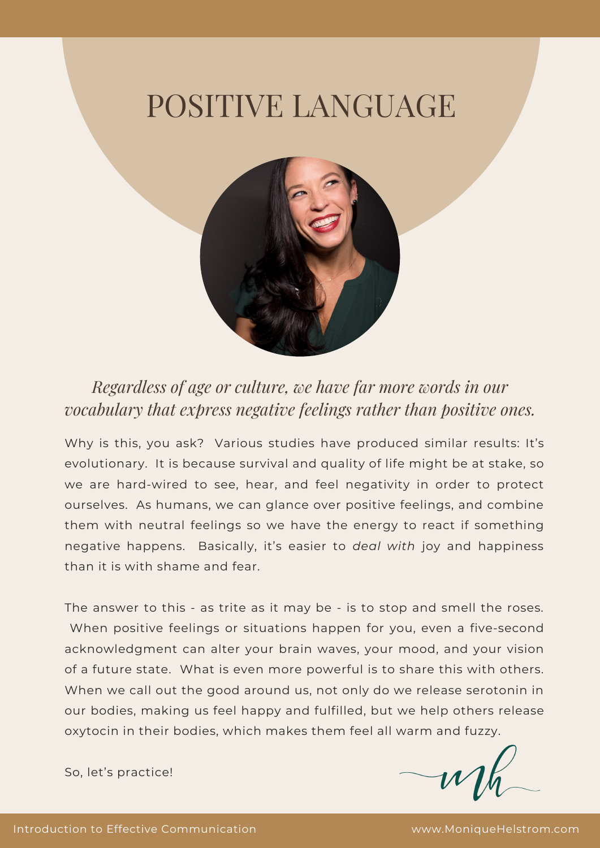## POSITIVE LANGUAGE



*Regardless of age or culture, we have far more words in our vocabulary that express negative feelings rather than positive ones.*

Why is this, you ask? Various studies have produced similar results: It's evolutionary. It is because survival and quality of life might be at stake, so we are hard-wired to see, hear, and feel negativity in order to protect ourselves. As humans, we can glance over positive feelings, and combine them with neutral feelings so we have the energy to react if something negative happens. Basically, it's easier to *deal with* joy and happiness than it is with shame and fear.

The answer to this - as trite as it may be - is to stop and smell the roses. When positive feelings or situations happen for you, even a five-second acknowledgment can alter your brain waves, your mood, and your vision of a future state. What is even more powerful is to share this with others. When we call out the good around us, not only do we release serotonin in our bodies, making us feel happy and fulfilled, but we help others release oxytocin in their bodies, which makes them feel all warm and fuzzy.

So, let's practice!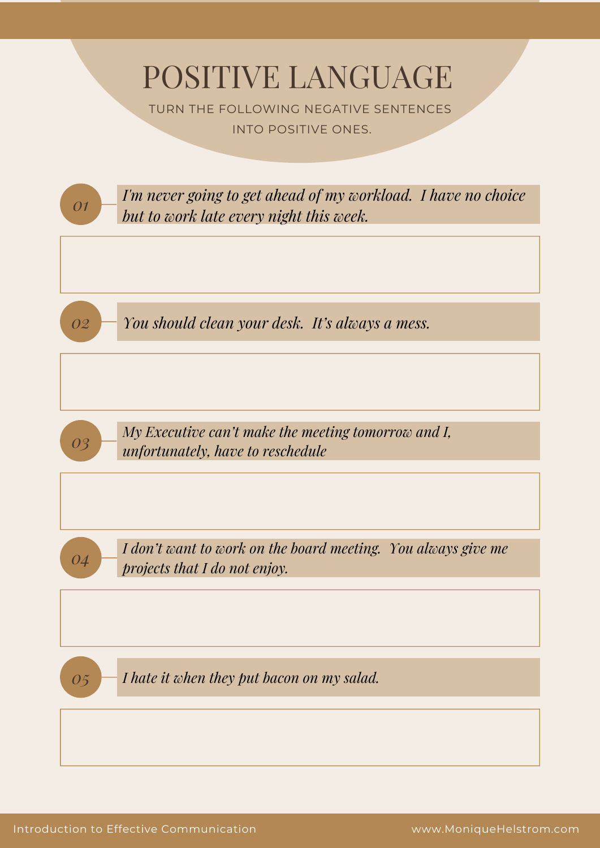POSITIVE LANGUAGE

TURN THE FOLLOWING NEGATIVE SENTENCES INTO POSITIVE ONES.